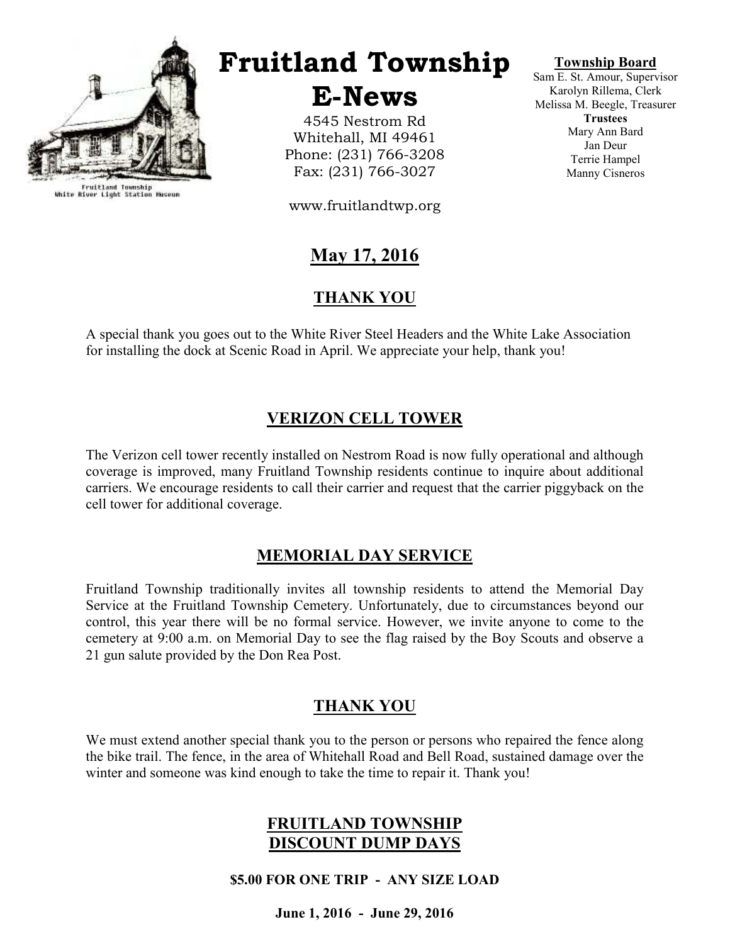

Fruitland Township<br>White River Light Station Museum

# Fruitland Township

E-News

4545 Nestrom Rd Whitehall, MI 49461 Phone: (231) 766-3208 Fax: (231) 766-3027

www.fruitlandtwp.org

## May 17, 2016

## THANK YOU

A special thank you goes out to the White River Steel Headers and the White Lake Association for installing the dock at Scenic Road in April. We appreciate your help, thank you!

## VERIZON CELL TOWER

The Verizon cell tower recently installed on Nestrom Road is now fully operational and although coverage is improved, many Fruitland Township residents continue to inquire about additional carriers. We encourage residents to call their carrier and request that the carrier piggyback on the cell tower for additional coverage.

### MEMORIAL DAY SERVICE

Fruitland Township traditionally invites all township residents to attend the Memorial Day Service at the Fruitland Township Cemetery. Unfortunately, due to circumstances beyond our control, this year there will be no formal service. However, we invite anyone to come to the cemetery at 9:00 a.m. on Memorial Day to see the flag raised by the Boy Scouts and observe a 21 gun salute provided by the Don Rea Post.

#### THANK YOU

We must extend another special thank you to the person or persons who repaired the fence along the bike trail. The fence, in the area of Whitehall Road and Bell Road, sustained damage over the winter and someone was kind enough to take the time to repair it. Thank you!

#### FRUITLAND TOWNSHIP DISCOUNT DUMP DAYS

\$5.00 FOR ONE TRIP - ANY SIZE LOAD

June 1, 2016 - June 29, 2016

#### Township Board

Sam E. St. Amour, Supervisor Karolyn Rillema, Clerk Melissa M. Beegle, Treasurer **Trustees** Mary Ann Bard Jan Deur Terrie Hampel Manny Cisneros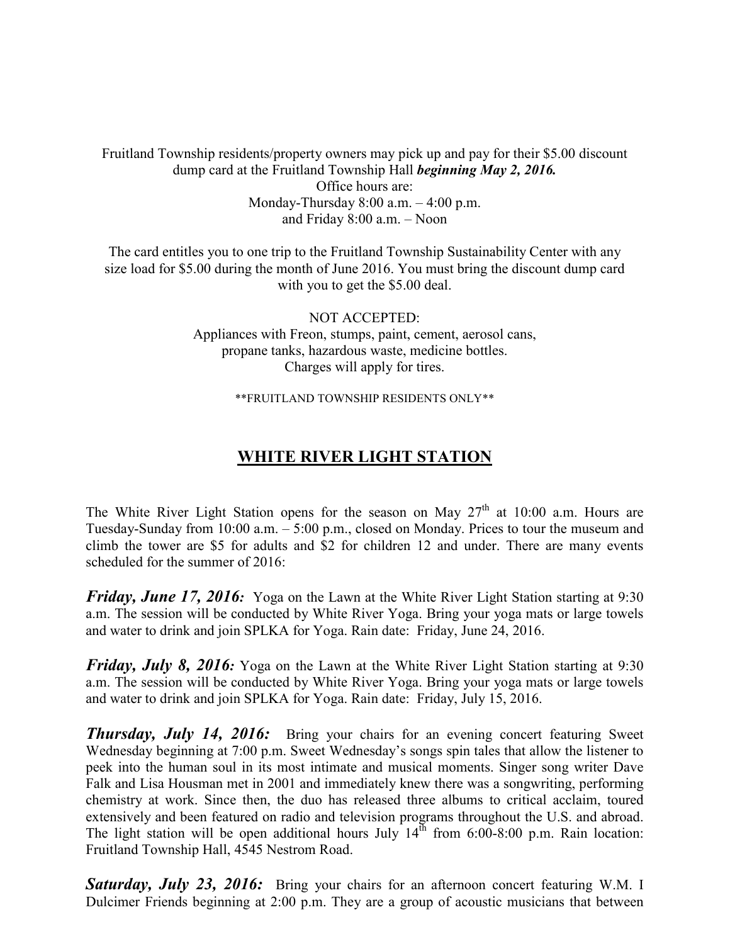Fruitland Township residents/property owners may pick up and pay for their \$5.00 discount dump card at the Fruitland Township Hall *beginning May 2, 2016*. Office hours are: Monday-Thursday 8:00 a.m. – 4:00 p.m.

and Friday 8:00 a.m. – Noon

The card entitles you to one trip to the Fruitland Township Sustainability Center with any size load for \$5.00 during the month of June 2016. You must bring the discount dump card with you to get the \$5.00 deal.

> NOT ACCEPTED: Appliances with Freon, stumps, paint, cement, aerosol cans, propane tanks, hazardous waste, medicine bottles. Charges will apply for tires.

> > \*\*FRUITLAND TOWNSHIP RESIDENTS ONLY\*\*

## WHITE RIVER LIGHT STATION

The White River Light Station opens for the season on May  $27<sup>th</sup>$  at 10:00 a.m. Hours are Tuesday-Sunday from 10:00 a.m. – 5:00 p.m., closed on Monday. Prices to tour the museum and climb the tower are \$5 for adults and \$2 for children 12 and under. There are many events scheduled for the summer of 2016:

**Friday, June 17, 2016:** Yoga on the Lawn at the White River Light Station starting at 9:30 a.m. The session will be conducted by White River Yoga. Bring your yoga mats or large towels and water to drink and join SPLKA for Yoga. Rain date: Friday, June 24, 2016.

**Friday, July 8, 2016:** Yoga on the Lawn at the White River Light Station starting at  $9:30$ a.m. The session will be conducted by White River Yoga. Bring your yoga mats or large towels and water to drink and join SPLKA for Yoga. Rain date: Friday, July 15, 2016.

**Thursday, July 14, 2016:** Bring your chairs for an evening concert featuring Sweet Wednesday beginning at 7:00 p.m. Sweet Wednesday's songs spin tales that allow the listener to peek into the human soul in its most intimate and musical moments. Singer song writer Dave Falk and Lisa Housman met in 2001 and immediately knew there was a songwriting, performing chemistry at work. Since then, the duo has released three albums to critical acclaim, toured extensively and been featured on radio and television programs throughout the U.S. and abroad. The light station will be open additional hours July  $14<sup>th</sup>$  from 6:00-8:00 p.m. Rain location: Fruitland Township Hall, 4545 Nestrom Road.

**Saturday, July 23, 2016:** Bring your chairs for an afternoon concert featuring W.M. I Dulcimer Friends beginning at 2:00 p.m. They are a group of acoustic musicians that between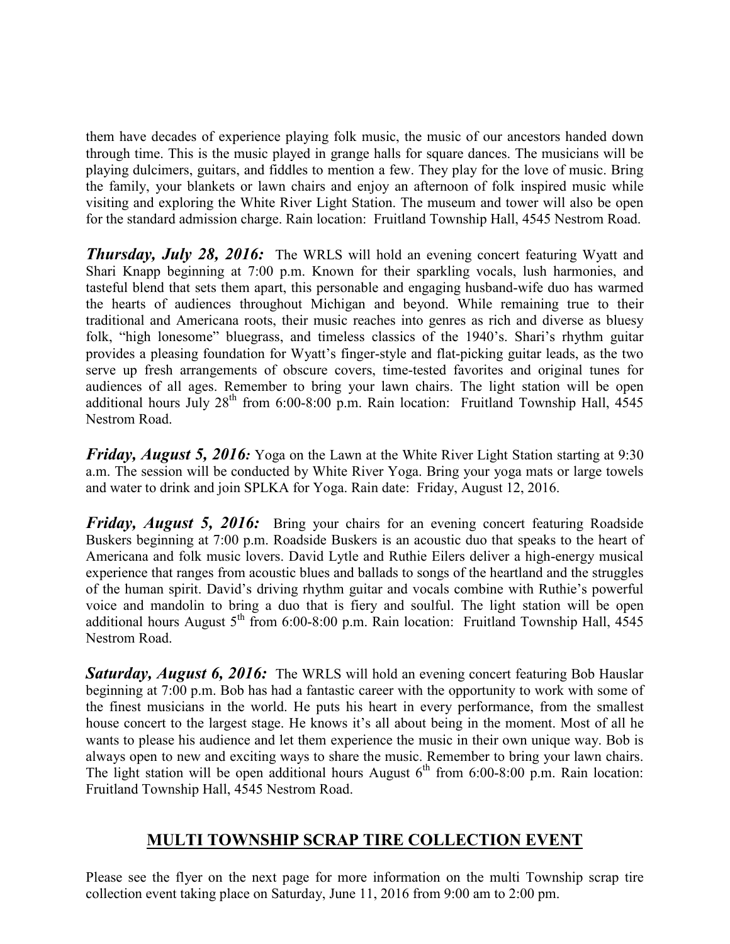them have decades of experience playing folk music, the music of our ancestors handed down through time. This is the music played in grange halls for square dances. The musicians will be playing dulcimers, guitars, and fiddles to mention a few. They play for the love of music. Bring the family, your blankets or lawn chairs and enjoy an afternoon of folk inspired music while visiting and exploring the White River Light Station. The museum and tower will also be open for the standard admission charge. Rain location: Fruitland Township Hall, 4545 Nestrom Road.

**Thursday, July 28, 2016:** The WRLS will hold an evening concert featuring Wyatt and Shari Knapp beginning at 7:00 p.m. Known for their sparkling vocals, lush harmonies, and tasteful blend that sets them apart, this personable and engaging husband-wife duo has warmed the hearts of audiences throughout Michigan and beyond. While remaining true to their traditional and Americana roots, their music reaches into genres as rich and diverse as bluesy folk, "high lonesome" bluegrass, and timeless classics of the 1940's. Shari's rhythm guitar provides a pleasing foundation for Wyatt's finger-style and flat-picking guitar leads, as the two serve up fresh arrangements of obscure covers, time-tested favorites and original tunes for audiences of all ages. Remember to bring your lawn chairs. The light station will be open additional hours July  $28^{th}$  from 6:00-8:00 p.m. Rain location: Fruitland Township Hall,  $4545$ Nestrom Road.

**Friday, August 5, 2016:** Yoga on the Lawn at the White River Light Station starting at 9:30 a.m. The session will be conducted by White River Yoga. Bring your yoga mats or large towels and water to drink and join SPLKA for Yoga. Rain date: Friday, August 12, 2016.

**Friday, August 5, 2016:** Bring your chairs for an evening concert featuring Roadside Buskers beginning at 7:00 p.m. Roadside Buskers is an acoustic duo that speaks to the heart of Americana and folk music lovers. David Lytle and Ruthie Eilers deliver a high-energy musical experience that ranges from acoustic blues and ballads to songs of the heartland and the struggles of the human spirit. David's driving rhythm guitar and vocals combine with Ruthie's powerful voice and mandolin to bring a duo that is fiery and soulful. The light station will be open additional hours August  $5<sup>th</sup>$  from 6:00-8:00 p.m. Rain location: Fruitland Township Hall, 4545 Nestrom Road.

**Saturday, August 6, 2016:** The WRLS will hold an evening concert featuring Bob Hauslar beginning at 7:00 p.m. Bob has had a fantastic career with the opportunity to work with some of the finest musicians in the world. He puts his heart in every performance, from the smallest house concert to the largest stage. He knows it's all about being in the moment. Most of all he wants to please his audience and let them experience the music in their own unique way. Bob is always open to new and exciting ways to share the music. Remember to bring your lawn chairs. The light station will be open additional hours August  $6<sup>th</sup>$  from 6:00-8:00 p.m. Rain location: Fruitland Township Hall, 4545 Nestrom Road.

## MULTI TOWNSHIP SCRAP TIRE COLLECTION EVENT

Please see the flyer on the next page for more information on the multi Township scrap tire collection event taking place on Saturday, June 11, 2016 from 9:00 am to 2:00 pm.